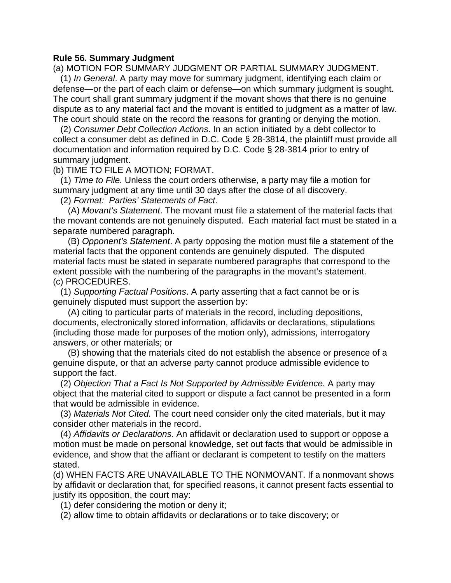## **Rule 56. Summary Judgment**

(a) MOTION FOR SUMMARY JUDGMENT OR PARTIAL SUMMARY JUDGMENT.

 defense—or the part of each claim or defense—on which summary judgment is sought. dispute as to any material fact and the movant is entitled to judgment as a matter of law. (1) *In General*. A party may move for summary judgment, identifying each claim or The court shall grant summary judgment if the movant shows that there is no genuine The court should state on the record the reasons for granting or denying the motion.

 collect a consumer debt as defined in D.C. Code § 28-3814, the plaintiff must provide all (2) *Consumer Debt Collection Actions*. In an action initiated by a debt collector to documentation and information required by D.C. Code § 28-3814 prior to entry of summary judgment.

(b) TIME TO FILE A MOTION; FORMAT.

(1) *Time to File.* Unless the court orders otherwise, a party may file a motion for summary judgment at any time until 30 days after the close of all discovery.

(2) *Format: Parties' Statements of Fact*.

 the movant contends are not genuinely disputed. Each material fact must be stated in a (A) *Movant's Statement*. The movant must file a statement of the material facts that separate numbered paragraph.

(B) *Opponent's Statement*. A party opposing the motion must file a statement of the material facts that the opponent contends are genuinely disputed. The disputed material facts must be stated in separate numbered paragraphs that correspond to the extent possible with the numbering of the paragraphs in the movant's statement. (c) PROCEDURES.

(1) *Supporting Factual Positions*. A party asserting that a fact cannot be or is genuinely disputed must support the assertion by:

(A) citing to particular parts of materials in the record, including depositions, documents, electronically stored information, affidavits or declarations, stipulations (including those made for purposes of the motion only), admissions, interrogatory answers, or other materials; or

(B) showing that the materials cited do not establish the absence or presence of a genuine dispute, or that an adverse party cannot produce admissible evidence to support the fact.

(2) *Objection That a Fact Is Not Supported by Admissible Evidence.* A party may object that the material cited to support or dispute a fact cannot be presented in a form that would be admissible in evidence.

(3) *Materials Not Cited.* The court need consider only the cited materials, but it may consider other materials in the record.

(4) *Affidavits or Declarations.* An affidavit or declaration used to support or oppose a motion must be made on personal knowledge, set out facts that would be admissible in evidence, and show that the affiant or declarant is competent to testify on the matters stated.

(d) WHEN FACTS ARE UNAVAILABLE TO THE NONMOVANT. If a nonmovant shows by affidavit or declaration that, for specified reasons, it cannot present facts essential to justify its opposition, the court may:

(1) defer considering the motion or deny it;

(2) allow time to obtain affidavits or declarations or to take discovery; or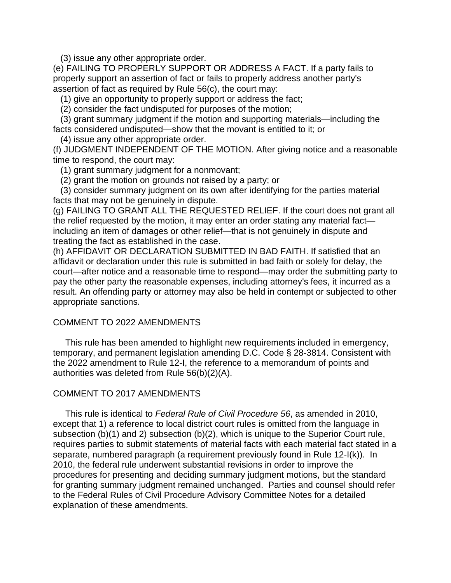(3) issue any other appropriate order.

 (e) FAILING TO PROPERLY SUPPORT OR ADDRESS A FACT. If a party fails to properly support an assertion of fact or fails to properly address another party's assertion of fact as required by Rule 56(c), the court may:

(1) give an opportunity to properly support or address the fact;

(2) consider the fact undisputed for purposes of the motion;

 facts considered undisputed—show that the movant is entitled to it; or (3) grant summary judgment if the motion and supporting materials—including the

(4) issue any other appropriate order.

(f) JUDGMENT INDEPENDENT OF THE MOTION. After giving notice and a reasonable time to respond, the court may:

(1) grant summary judgment for a nonmovant;

(2) grant the motion on grounds not raised by a party; or

(3) consider summary judgment on its own after identifying for the parties material facts that may not be genuinely in dispute.

 (g) FAILING TO GRANT ALL THE REQUESTED RELIEF. If the court does not grant all the relief requested by the motion, it may enter an order stating any material fact including an item of damages or other relief—that is not genuinely in dispute and treating the fact as established in the case.

 (h) AFFIDAVIT OR DECLARATION SUBMITTED IN BAD FAITH. If satisfied that an affidavit or declaration under this rule is submitted in bad faith or solely for delay, the court—after notice and a reasonable time to respond—may order the submitting party to pay the other party the reasonable expenses, including attorney's fees, it incurred as a result. An offending party or attorney may also be held in contempt or subjected to other appropriate sanctions.

## COMMENT TO 2022 AMENDMENTS

This rule has been amended to highlight new requirements included in emergency, temporary, and permanent legislation amending D.C. Code § 28-3814. Consistent with the 2022 amendment to Rule 12-I, the reference to a memorandum of points and authorities was deleted from Rule 56(b)(2)(A).

## COMMENT TO 2017 AMENDMENTS

This rule is identical to *Federal Rule of Civil Procedure 56*, as amended in 2010, except that 1) a reference to local district court rules is omitted from the language in subsection (b)(1) and 2) subsection (b)(2), which is unique to the Superior Court rule, requires parties to submit statements of material facts with each material fact stated in a separate, numbered paragraph (a requirement previously found in Rule 12-I(k)). In 2010, the federal rule underwent substantial revisions in order to improve the procedures for presenting and deciding summary judgment motions, but the standard for granting summary judgment remained unchanged. Parties and counsel should refer to the Federal Rules of Civil Procedure Advisory Committee Notes for a detailed explanation of these amendments.